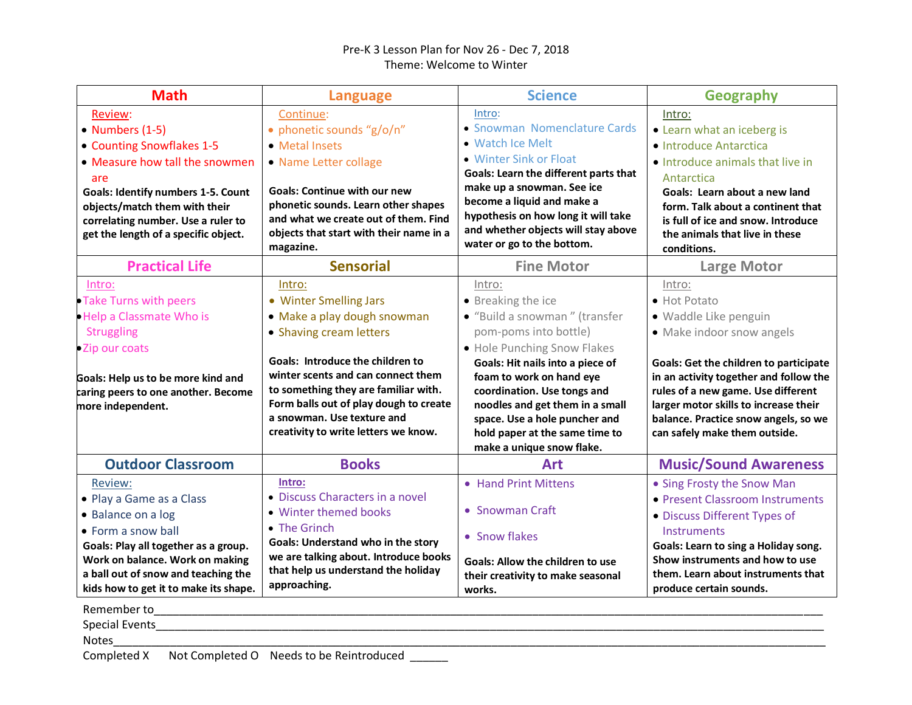## Pre-K 3 Lesson Plan for Nov 26 - Dec 7, 2018 Theme: Welcome to Winter

| <b>Math</b>                                                                                                                                                                                                                                                  | <b>Language</b>                                                                                                                                                                                                                                                                                                              | <b>Science</b>                                                                                                                                                                                                                                                                                                                                          | <b>Geography</b>                                                                                                                                                                                                                                                                                                                |
|--------------------------------------------------------------------------------------------------------------------------------------------------------------------------------------------------------------------------------------------------------------|------------------------------------------------------------------------------------------------------------------------------------------------------------------------------------------------------------------------------------------------------------------------------------------------------------------------------|---------------------------------------------------------------------------------------------------------------------------------------------------------------------------------------------------------------------------------------------------------------------------------------------------------------------------------------------------------|---------------------------------------------------------------------------------------------------------------------------------------------------------------------------------------------------------------------------------------------------------------------------------------------------------------------------------|
| Review:<br>• Numbers (1-5)<br>• Counting Snowflakes 1-5<br>• Measure how tall the snowmen<br>are<br><b>Goals: Identify numbers 1-5. Count</b><br>objects/match them with their<br>correlating number. Use a ruler to<br>get the length of a specific object. | Continue:<br>· phonetic sounds "g/o/n"<br>• Metal Insets<br>• Name Letter collage<br><b>Goals: Continue with our new</b><br>phonetic sounds. Learn other shapes<br>and what we create out of them. Find<br>objects that start with their name in a<br>magazine.                                                              | Intro:<br>• Snowman Nomenclature Cards<br>• Watch Ice Melt<br>• Winter Sink or Float<br>Goals: Learn the different parts that<br>make up a snowman. See ice<br>become a liquid and make a<br>hypothesis on how long it will take<br>and whether objects will stay above<br>water or go to the bottom.                                                   | Intro:<br>• Learn what an iceberg is<br>· Introduce Antarctica<br>• Introduce animals that live in<br>Antarctica<br>Goals: Learn about a new land<br>form. Talk about a continent that<br>is full of ice and snow. Introduce<br>the animals that live in these<br>conditions.                                                   |
| <b>Practical Life</b>                                                                                                                                                                                                                                        | <b>Sensorial</b>                                                                                                                                                                                                                                                                                                             | <b>Fine Motor</b>                                                                                                                                                                                                                                                                                                                                       | <b>Large Motor</b>                                                                                                                                                                                                                                                                                                              |
| Intro:<br>• Take Turns with peers<br>. Help a Classmate Who is<br>Struggling<br>•Zip our coats<br>Goals: Help us to be more kind and<br>caring peers to one another. Become<br>more independent.                                                             | Intro:<br>• Winter Smelling Jars<br>· Make a play dough snowman<br>• Shaving cream letters<br>Goals: Introduce the children to<br>winter scents and can connect them<br>to something they are familiar with.<br>Form balls out of play dough to create<br>a snowman. Use texture and<br>creativity to write letters we know. | Intro:<br>• Breaking the ice<br>· "Build a snowman" (transfer<br>pom-poms into bottle)<br>. Hole Punching Snow Flakes<br>Goals: Hit nails into a piece of<br>foam to work on hand eye<br>coordination. Use tongs and<br>noodles and get them in a small<br>space. Use a hole puncher and<br>hold paper at the same time to<br>make a unique snow flake. | Intro:<br>• Hot Potato<br>· Waddle Like penguin<br>• Make indoor snow angels<br><b>Goals: Get the children to participate</b><br>in an activity together and follow the<br>rules of a new game. Use different<br>larger motor skills to increase their<br>balance. Practice snow angels, so we<br>can safely make them outside. |
| <b>Outdoor Classroom</b>                                                                                                                                                                                                                                     | <b>Books</b>                                                                                                                                                                                                                                                                                                                 | <b>Art</b>                                                                                                                                                                                                                                                                                                                                              | <b>Music/Sound Awareness</b>                                                                                                                                                                                                                                                                                                    |
| Review:<br>• Play a Game as a Class<br>• Balance on a log<br>• Form a snow ball<br>Goals: Play all together as a group.<br>Work on balance. Work on making<br>a ball out of snow and teaching the<br>kids how to get it to make its shape.                   | Intro:<br>• Discuss Characters in a novel<br>• Winter themed books<br>• The Grinch<br><b>Goals: Understand who in the story</b><br>we are talking about. Introduce books<br>that help us understand the holiday<br>approaching.                                                                                              | • Hand Print Mittens<br>• Snowman Craft<br>• Snow flakes<br><b>Goals: Allow the children to use</b><br>their creativity to make seasonal<br>works.                                                                                                                                                                                                      | • Sing Frosty the Snow Man<br>• Present Classroom Instruments<br>• Discuss Different Types of<br>Instruments<br>Goals: Learn to sing a Holiday song.<br>Show instruments and how to use<br>them. Learn about instruments that<br>produce certain sounds.                                                                        |
| Remember to and the state of the state of the state of the state of the state of the state of the state of the<br><b>Notes</b>                                                                                                                               |                                                                                                                                                                                                                                                                                                                              |                                                                                                                                                                                                                                                                                                                                                         |                                                                                                                                                                                                                                                                                                                                 |

Completed X Not Completed O Needs to be Reintroduced \_\_\_\_\_\_